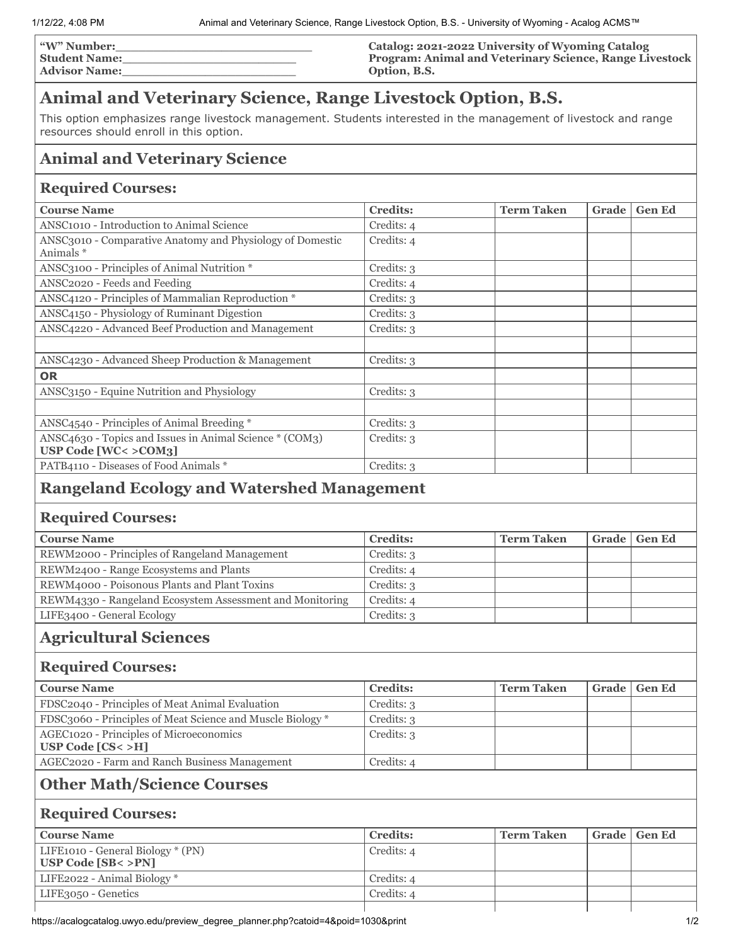| <b>W" Number:</b>    | Catalog: 2021-2022 University of Wyoming Catalog               |
|----------------------|----------------------------------------------------------------|
| <b>Student Name:</b> | <b>Program: Animal and Veterinary Science, Range Livestock</b> |
| <b>Advisor Name:</b> | Option, B.S.                                                   |

# **Animal and Veterinary Science, Range Livestock Option, B.S.**

This option emphasizes range livestock management. Students interested in the management of livestock and range resources should enroll in this option.

## **Animal and Veterinary Science**

#### **Required Courses:**

| <b>Course Name</b>                                                             | <b>Credits:</b> | <b>Term Taken</b> | Grade | <b>Gen Ed</b> |
|--------------------------------------------------------------------------------|-----------------|-------------------|-------|---------------|
| ANSC1010 - Introduction to Animal Science                                      | Credits: 4      |                   |       |               |
| ANSC3010 - Comparative Anatomy and Physiology of Domestic<br>Animals *         | Credits: 4      |                   |       |               |
| ANSC3100 - Principles of Animal Nutrition *                                    | Credits: 3      |                   |       |               |
| ANSC2020 - Feeds and Feeding                                                   | Credits: 4      |                   |       |               |
| ANSC4120 - Principles of Mammalian Reproduction *                              | Credits: 3      |                   |       |               |
| ANSC4150 - Physiology of Ruminant Digestion                                    | Credits: 3      |                   |       |               |
| ANSC4220 - Advanced Beef Production and Management                             | Credits: 3      |                   |       |               |
|                                                                                |                 |                   |       |               |
| ANSC4230 - Advanced Sheep Production & Management                              | Credits: 3      |                   |       |               |
| <b>OR</b>                                                                      |                 |                   |       |               |
| ANSC3150 - Equine Nutrition and Physiology                                     | Credits: 3      |                   |       |               |
|                                                                                |                 |                   |       |               |
| ANSC4540 - Principles of Animal Breeding *                                     | Credits: 3      |                   |       |               |
| ANSC4630 - Topics and Issues in Animal Science * (COM3)<br>USP Code [WC<>COM3] | Credits: 3      |                   |       |               |
| PATB4110 - Diseases of Food Animals *                                          | Credits: 3      |                   |       |               |

## **Rangeland Ecology and Watershed Management**

### **Required Courses:**

| <b>Course Name</b>                                       | <b>Credits:</b> | <b>Term Taken</b> | Grade   Gen Ed |
|----------------------------------------------------------|-----------------|-------------------|----------------|
| REWM2000 - Principles of Rangeland Management            | Credits: 3      |                   |                |
| REWM2400 - Range Ecosystems and Plants                   | Credits: 4      |                   |                |
| REWM4000 - Poisonous Plants and Plant Toxins             | Credits: 3      |                   |                |
| REWM4330 - Rangeland Ecosystem Assessment and Monitoring | Credits: 4      |                   |                |
| LIFE3400 - General Ecology                               | Credits: 3      |                   |                |

## **Agricultural Sciences**

### **Required Courses:**

| <b>Course Name</b>                                               | <b>Credits:</b> | <b>Term Taken</b> | Grade   Gen Ed |
|------------------------------------------------------------------|-----------------|-------------------|----------------|
| FDSC2040 - Principles of Meat Animal Evaluation                  | Credits: 3      |                   |                |
| FDSC3060 - Principles of Meat Science and Muscle Biology *       | Credits: 3      |                   |                |
| AGEC1020 - Principles of Microeconomics<br>USP Code $[CS < > H]$ | Credits: 3      |                   |                |
| AGEC2020 - Farm and Ranch Business Management                    | Credits: 4      |                   |                |

## **Other Math/Science Courses**

#### **Required Courses:**

| <b>Course Name</b>                | <b>Credits:</b> | <b>Term Taken</b> |  | Grade   Gen Ed |
|-----------------------------------|-----------------|-------------------|--|----------------|
| LIFE1010 - General Biology * (PN) | Credits: 4      |                   |  |                |
| USP Code $[SB < >PN]$             |                 |                   |  |                |
| LIFE2022 - Animal Biology *       | Credits: 4      |                   |  |                |
| LIFE3050 - Genetics               | Credits: 4      |                   |  |                |
|                                   |                 |                   |  |                |